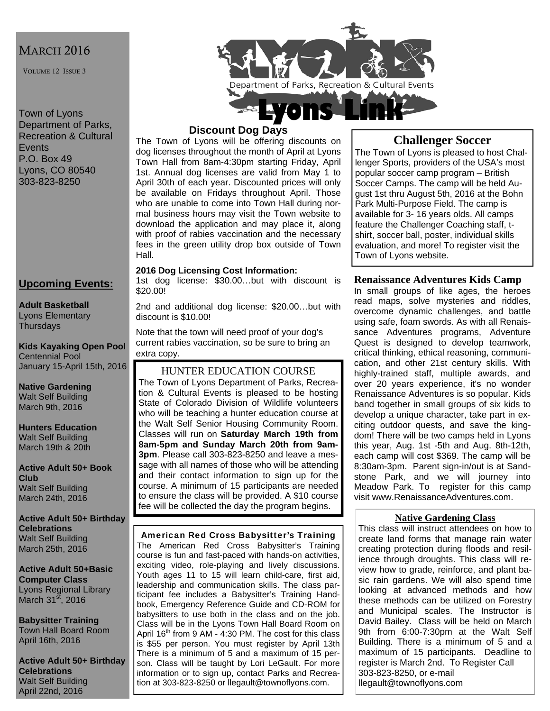# MARCH 2016

VOLUME 12 ISSUE 3

Town of Lyons Department of Parks, Recreation & Cultural **Events** P.O. Box 49 Lyons, CO 80540 303-823-8250

## **Upcoming Events:**

**Adult Basketball**  Lyons Elementary **Thursdays** 

**Kids Kayaking Open Pool**  Centennial Pool January 15-April 15th, 2016

**Native Gardening**  Walt Self Building March 9th, 2016

**Hunters Education**  Walt Self Building March 19th & 20th

**Active Adult 50+ Book Club**  Walt Self Building March 24th, 2016

**Active Adult 50+ Birthday Celebrations**  Walt Self Building March 25th, 2016

**Active Adult 50+Basic Computer Class**  Lyons Regional Library March  $31<sup>st</sup>$ , 2016

**Babysitter Training**  Town Hall Board Room April 16th, 2016

**Active Adult 50+ Birthday Celebrations**  Walt Self Building April 22nd, 2016



## **Discount Dog Days**

The Town of Lyons will be offering discounts on dog licenses throughout the month of April at Lyons Town Hall from 8am-4:30pm starting Friday, April 1st. Annual dog licenses are valid from May 1 to April 30th of each year. Discounted prices will only be available on Fridays throughout April. Those who are unable to come into Town Hall during normal business hours may visit the Town website to download the application and may place it, along with proof of rabies vaccination and the necessary fees in the green utility drop box outside of Town Hall.

#### **2016 Dog Licensing Cost Information:**

1st dog license: \$30.00…but with discount is \$20.00!

2nd and additional dog license: \$20.00…but with discount is \$10.00!

Note that the town will need proof of your dog's current rabies vaccination, so be sure to bring an extra copy.

HUNTER EDUCATION COURSE

The Town of Lyons Department of Parks, Recreation & Cultural Events is pleased to be hosting State of Colorado Division of Wildlife volunteers who will be teaching a hunter education course at the Walt Self Senior Housing Community Room. Classes will run on **Saturday March 19th from 8am-5pm and Sunday March 20th from 9am-3pm**. Please call 303-823-8250 and leave a message with all names of those who will be attending and their contact information to sign up for the course. A minimum of 15 participants are needed to ensure the class will be provided. A \$10 course fee will be collected the day the program begins.

#### American Red Cross Babysitter's Training

The American Red Cross Babysitter's Training course is fun and fast-paced with hands-on activities, exciting video, role-playing and lively discussions. Youth ages 11 to 15 will learn child-care, first aid, leadership and communication skills. The class participant fee includes a Babysitter's Training Handbook, Emergency Reference Guide and CD-ROM for babysitters to use both in the class and on the job. Class will be in the Lyons Town Hall Board Room on April 16<sup>th</sup> from 9 AM - 4:30 PM. The cost for this class is \$55 per person. You must register by April 13th There is a minimum of 5 and a maximum of 15 person. Class will be taught by Lori LeGault. For more information or to sign up, contact Parks and Recreation at 303-823-8250 or llegault@townoflyons.com.

## **Challenger Soccer**

The Town of Lyons is pleased to host Challenger Sports, providers of the USA's most popular soccer camp program – British Soccer Camps. The camp will be held August 1st thru August 5th, 2016 at the Bohn Park Multi-Purpose Field. The camp is available for 3- 16 years olds. All camps feature the Challenger Coaching staff, tshirt, soccer ball, poster, individual skills evaluation, and more! To register visit the Town of Lyons website.

### **Renaissance Adventures Kids Camp**

In small groups of like ages, the heroes read maps, solve mysteries and riddles, overcome dynamic challenges, and battle using safe, foam swords. As with all Renaissance Adventures programs, Adventure Quest is designed to develop teamwork, critical thinking, ethical reasoning, communication, and other 21st century skills. With highly-trained staff, multiple awards, and over 20 years experience, it's no wonder Renaissance Adventures is so popular. Kids band together in small groups of six kids to develop a unique character, take part in exciting outdoor quests, and save the kingdom! There will be two camps held in Lyons this year, Aug. 1st -5th and Aug. 8th-12th, each camp will cost \$369. The camp will be 8:30am-3pm. Parent sign-in/out is at Sandstone Park, and we will journey into Meadow Park. To register for this camp visit www.RenaissanceAdventures.com.

### **Native Gardening Class**

This class will instruct attendees on how to create land forms that manage rain water creating protection during floods and resilience through droughts. This class will review how to grade, reinforce, and plant basic rain gardens. We will also spend time looking at advanced methods and how these methods can be utilized on Forestry and Municipal scales. The Instructor is David Bailey. Class will be held on March 9th from 6:00-7:30pm at the Walt Self Building. There is a minimum of 5 and a maximum of 15 participants. Deadline to register is March 2nd. To Register Call 303-823-8250, or e-mail llegault@townoflyons.com